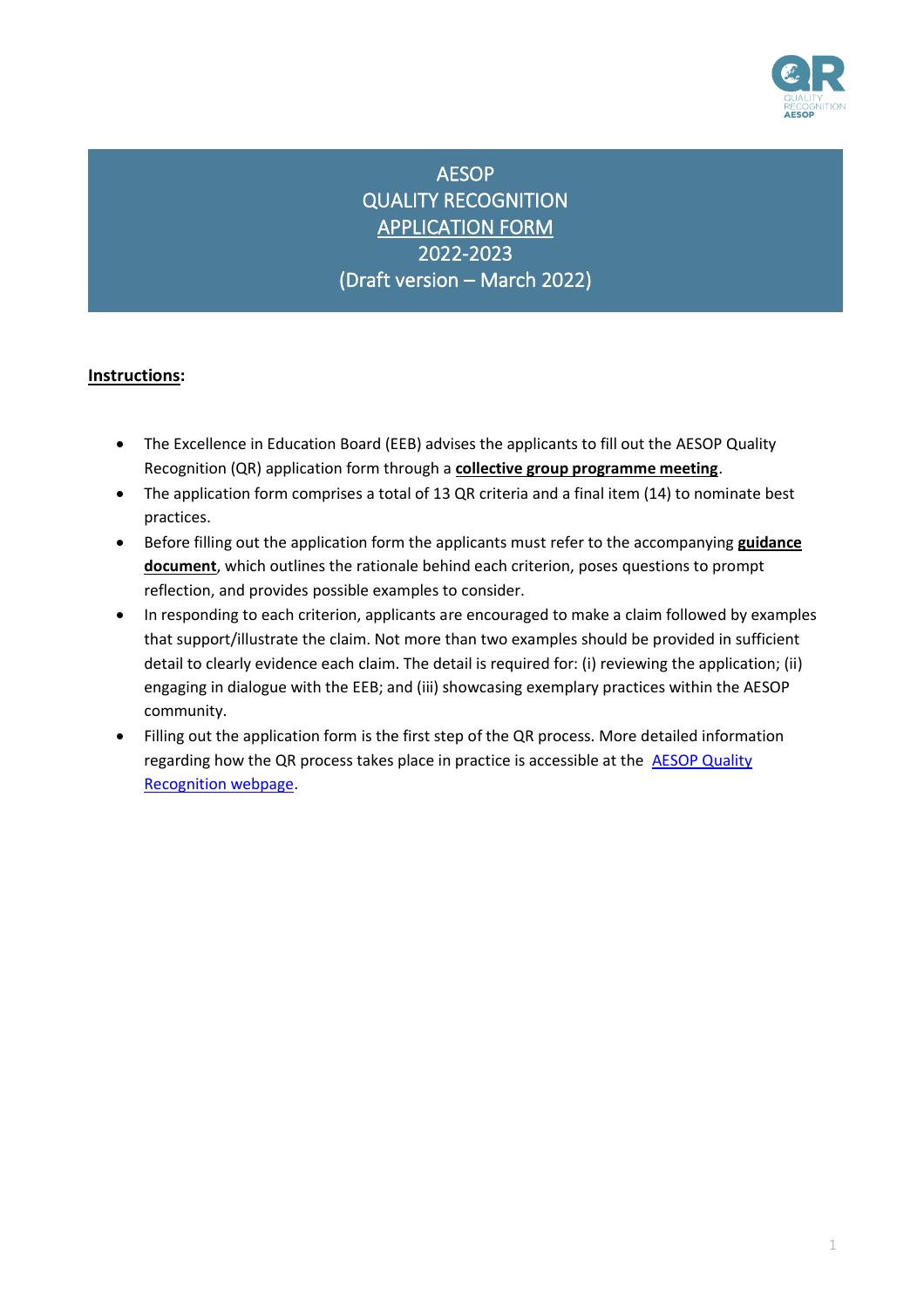

## AESOP QUALITY RECOGNITION APPLICATION FORM 2022-2023 (Draft version – March 2022)

## **Instructions:**

- The Excellence in Education Board (EEB) advises the applicants to fill out the AESOP Quality Recognition (QR) application form through a **collective group programme meeting**.
- The application form comprises a total of 13 QR criteria and a final item (14) to nominate best practices.
- Before filling out the application form the applicants must refer to the accompanying **guidance document**, which outlines the rationale behind each criterion, poses questions to prompt reflection, and provides possible examples to consider.
- In responding to each criterion, applicants are encouraged to make a claim followed by examples that support/illustrate the claim. Not more than two examples should be provided in sufficient detail to clearly evidence each claim. The detail is required for: (i) reviewing the application; (ii) engaging in dialogue with the EEB; and (iii) showcasing exemplary practices within the AESOP community.
- Filling out the application form is the first step of the QR process. More detailed information regarding how the QR process takes place in practice is accessible at the [AESOP Quality](https://www.aesop-planning.eu/en_GB/quality-recognition)  [Recognition webpage.](https://www.aesop-planning.eu/en_GB/quality-recognition)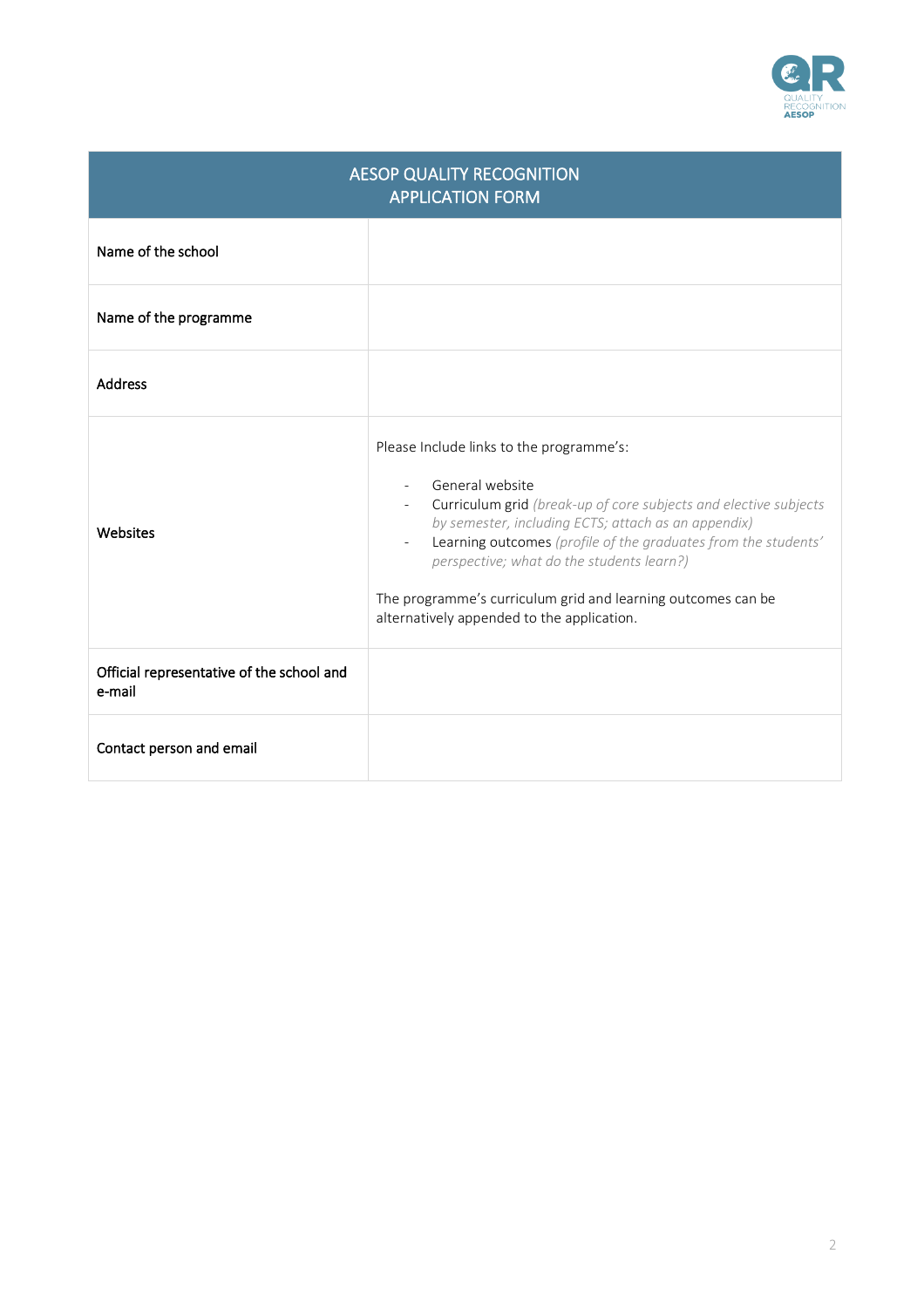

| <b>AESOP QUALITY RECOGNITION</b><br><b>APPLICATION FORM</b> |                                                                                                                                                                                                                                                                                                                                                                                                                               |
|-------------------------------------------------------------|-------------------------------------------------------------------------------------------------------------------------------------------------------------------------------------------------------------------------------------------------------------------------------------------------------------------------------------------------------------------------------------------------------------------------------|
| Name of the school                                          |                                                                                                                                                                                                                                                                                                                                                                                                                               |
| Name of the programme                                       |                                                                                                                                                                                                                                                                                                                                                                                                                               |
| <b>Address</b>                                              |                                                                                                                                                                                                                                                                                                                                                                                                                               |
| Websites                                                    | Please Include links to the programme's:<br>General website<br>$\sim$<br>Curriculum grid (break-up of core subjects and elective subjects<br>by semester, including ECTS; attach as an appendix)<br>Learning outcomes (profile of the graduates from the students'<br>perspective; what do the students learn?)<br>The programme's curriculum grid and learning outcomes can be<br>alternatively appended to the application. |
| Official representative of the school and<br>e-mail         |                                                                                                                                                                                                                                                                                                                                                                                                                               |
| Contact person and email                                    |                                                                                                                                                                                                                                                                                                                                                                                                                               |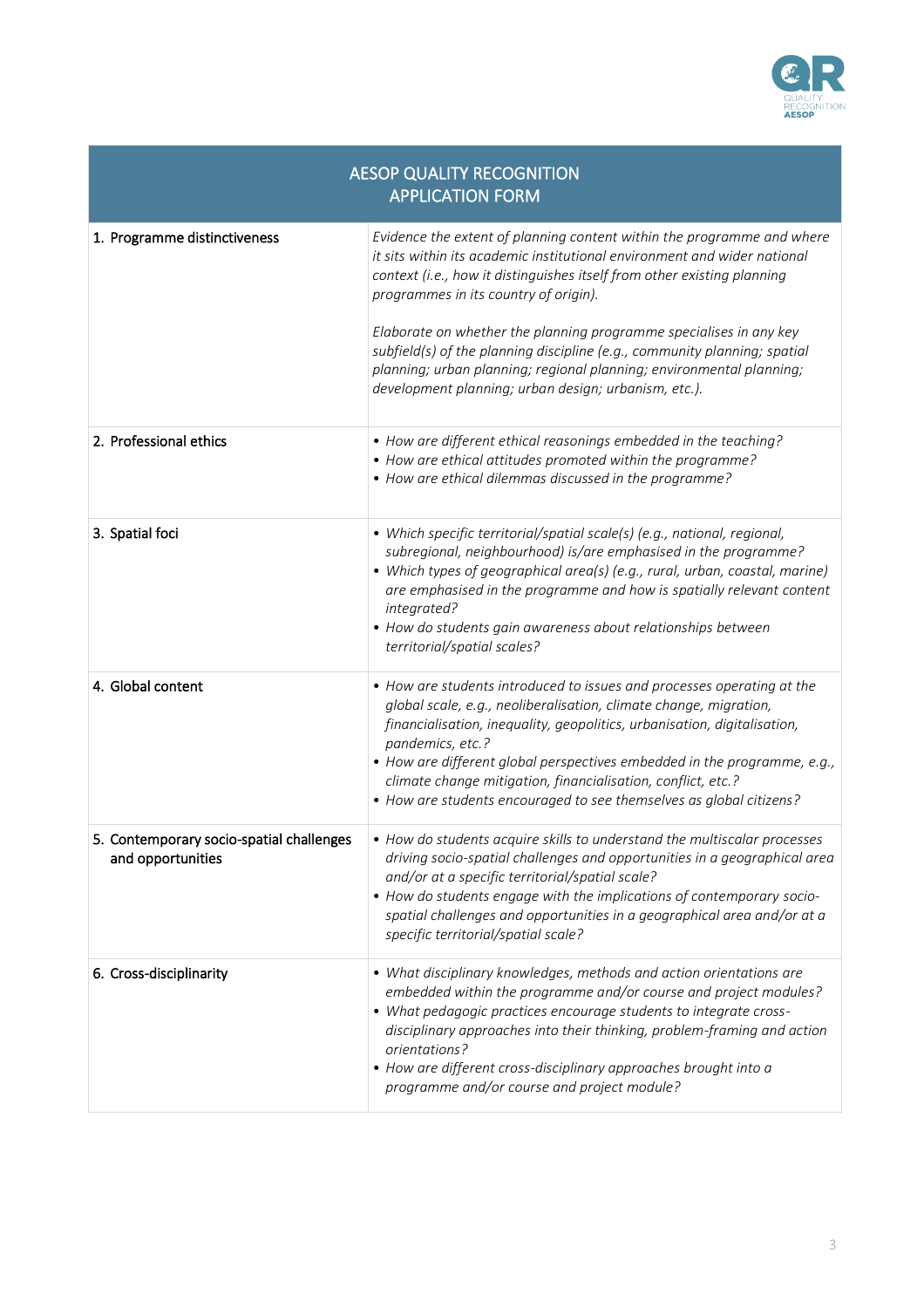

| <b>AESOP QUALITY RECOGNITION</b><br><b>APPLICATION FORM</b>   |                                                                                                                                                                                                                                                                                                                                                                                                                                                                                                                                                           |  |
|---------------------------------------------------------------|-----------------------------------------------------------------------------------------------------------------------------------------------------------------------------------------------------------------------------------------------------------------------------------------------------------------------------------------------------------------------------------------------------------------------------------------------------------------------------------------------------------------------------------------------------------|--|
| 1. Programme distinctiveness                                  | Evidence the extent of planning content within the programme and where<br>it sits within its academic institutional environment and wider national<br>context (i.e., how it distinguishes itself from other existing planning<br>programmes in its country of origin).<br>Elaborate on whether the planning programme specialises in any key<br>subfield(s) of the planning discipline (e.g., community planning; spatial<br>planning; urban planning; regional planning; environmental planning;<br>development planning; urban design; urbanism, etc.). |  |
| 2. Professional ethics                                        | • How are different ethical reasonings embedded in the teaching?<br>• How are ethical attitudes promoted within the programme?<br>• How are ethical dilemmas discussed in the programme?                                                                                                                                                                                                                                                                                                                                                                  |  |
| 3. Spatial foci                                               | • Which specific territorial/spatial scale(s) (e.g., national, regional,<br>subregional, neighbourhood) is/are emphasised in the programme?<br>• Which types of geographical area(s) (e.g., rural, urban, coastal, marine)<br>are emphasised in the programme and how is spatially relevant content<br>integrated?<br>• How do students gain awareness about relationships between<br>territorial/spatial scales?                                                                                                                                         |  |
| 4. Global content                                             | • How are students introduced to issues and processes operating at the<br>global scale, e.g., neoliberalisation, climate change, migration,<br>financialisation, inequality, geopolitics, urbanisation, digitalisation,<br>pandemics, etc.?<br>• How are different global perspectives embedded in the programme, e.g.,<br>climate change mitigation, financialisation, conflict, etc.?<br>• How are students encouraged to see themselves as global citizens?                                                                                            |  |
| 5. Contemporary socio-spatial challenges<br>and opportunities | • How do students acquire skills to understand the multiscalar processes<br>driving socio-spatial challenges and opportunities in a geographical area<br>and/or at a specific territorial/spatial scale?<br>• How do students engage with the implications of contemporary socio-<br>spatial challenges and opportunities in a geographical area and/or at a<br>specific territorial/spatial scale?                                                                                                                                                       |  |
| 6. Cross-disciplinarity                                       | • What disciplinary knowledges, methods and action orientations are<br>embedded within the programme and/or course and project modules?<br>• What pedagogic practices encourage students to integrate cross-<br>disciplinary approaches into their thinking, problem-framing and action<br>orientations?<br>• How are different cross-disciplinary approaches brought into a<br>programme and/or course and project module?                                                                                                                               |  |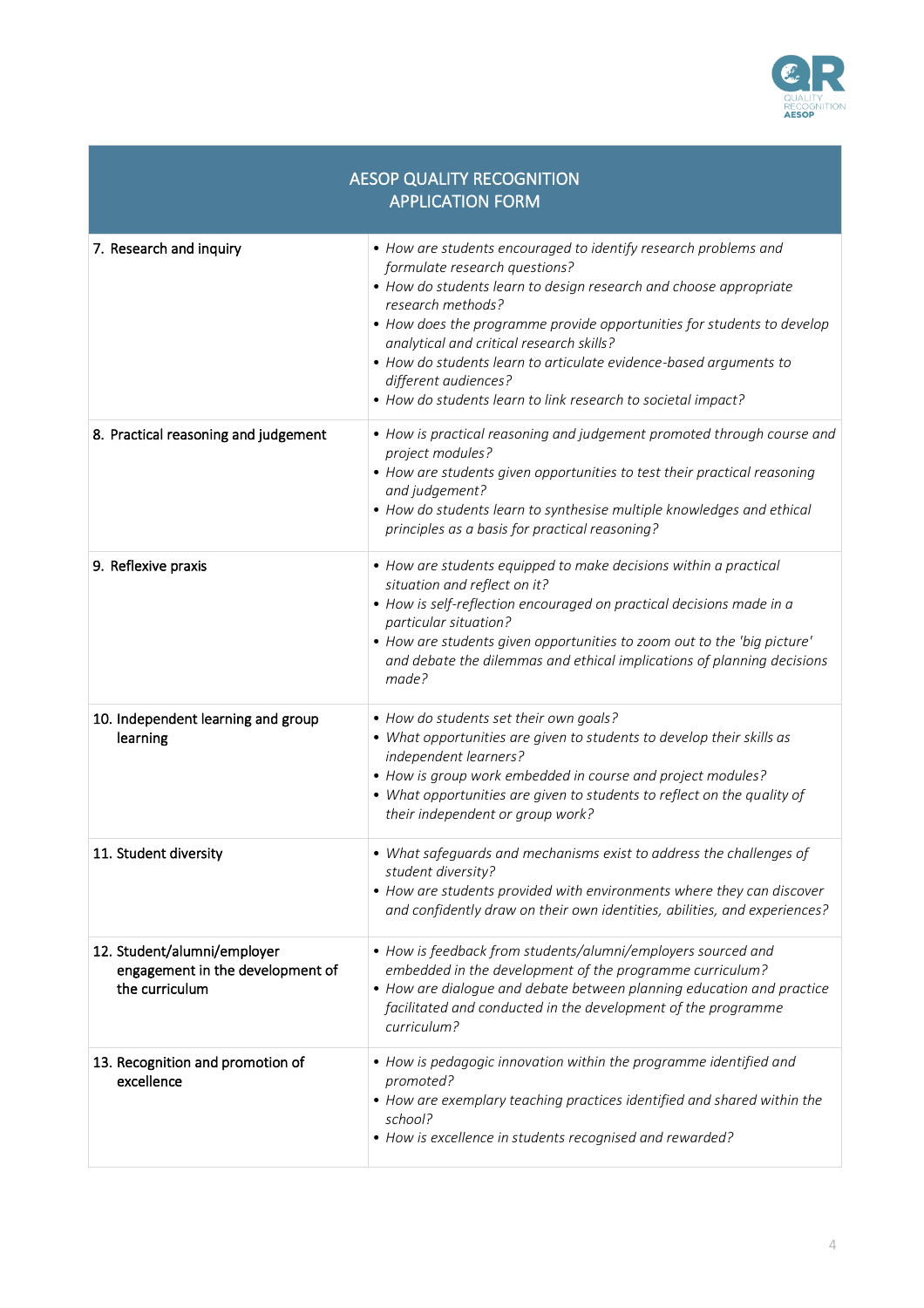

| <b>AESOP QUALITY RECOGNITION</b><br><b>APPLICATION FORM</b>                       |                                                                                                                                                                                                                                                                                                                                                                                                                                                                               |  |
|-----------------------------------------------------------------------------------|-------------------------------------------------------------------------------------------------------------------------------------------------------------------------------------------------------------------------------------------------------------------------------------------------------------------------------------------------------------------------------------------------------------------------------------------------------------------------------|--|
| 7. Research and inquiry                                                           | • How are students encouraged to identify research problems and<br>formulate research questions?<br>• How do students learn to design research and choose appropriate<br>research methods?<br>• How does the programme provide opportunities for students to develop<br>analytical and critical research skills?<br>• How do students learn to articulate evidence-based arguments to<br>different audiences?<br>• How do students learn to link research to societal impact? |  |
| 8. Practical reasoning and judgement                                              | • How is practical reasoning and judgement promoted through course and<br>project modules?<br>• How are students given opportunities to test their practical reasoning<br>and judgement?<br>• How do students learn to synthesise multiple knowledges and ethical<br>principles as a basis for practical reasoning?                                                                                                                                                           |  |
| 9. Reflexive praxis                                                               | • How are students equipped to make decisions within a practical<br>situation and reflect on it?<br>• How is self-reflection encouraged on practical decisions made in a<br>particular situation?<br>• How are students given opportunities to zoom out to the 'big picture'<br>and debate the dilemmas and ethical implications of planning decisions<br>made?                                                                                                               |  |
| 10. Independent learning and group<br>learning                                    | • How do students set their own goals?<br>• What opportunities are given to students to develop their skills as<br>independent learners?<br>• How is group work embedded in course and project modules?<br>• What opportunities are given to students to reflect on the quality of<br>their independent or group work?                                                                                                                                                        |  |
| 11. Student diversity                                                             | • What safeguards and mechanisms exist to address the challenges of<br>student diversity?<br>• How are students provided with environments where they can discover<br>and confidently draw on their own identities, abilities, and experiences?                                                                                                                                                                                                                               |  |
| 12. Student/alumni/employer<br>engagement in the development of<br>the curriculum | • How is feedback from students/alumni/employers sourced and<br>embedded in the development of the programme curriculum?<br>• How are dialogue and debate between planning education and practice<br>facilitated and conducted in the development of the programme<br>curriculum?                                                                                                                                                                                             |  |
| 13. Recognition and promotion of<br>excellence                                    | • How is pedagogic innovation within the programme identified and<br>promoted?<br>• How are exemplary teaching practices identified and shared within the<br>school?<br>• How is excellence in students recognised and rewarded?                                                                                                                                                                                                                                              |  |